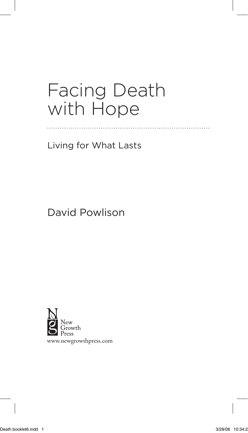# Facing Death with Hope

Living for What Lasts

## David Powlison



www.newgrowthpress.com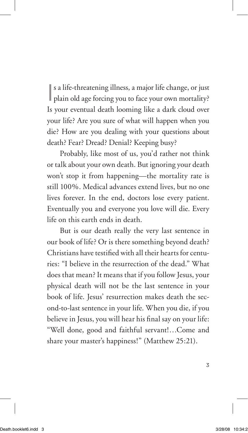| s a life-threatening illness, a major life change, or just<br>| plain old age forcing you to face your own mortality? s a life-threatening illness, a major life change, or just Is your eventual death looming like a dark cloud over your life? Are you sure of what will happen when you die? How are you dealing with your questions about death? Fear? Dread? Denial? Keeping busy?

Probably, like most of us, you'd rather not think or talk about your own death. But ignoring your death won't stop it from happening—the mortality rate is still 100%. Medical advances extend lives, but no one lives forever. In the end, doctors lose every patient. Eventually you and everyone you love will die. Every life on this earth ends in death.

But is our death really the very last sentence in our book of life? Or is there something beyond death? Christians have testified with all their hearts for centuries: "I believe in the resurrection of the dead." What does that mean? It means that if you follow Jesus, your physical death will not be the last sentence in your book of life. Jesus' resurrection makes death the second-to-last sentence in your life. When you die, if you believe in Jesus, you will hear his final say on your life: "Well done, good and faithful servant!…Come and share your master's happiness!" (Matthew 25:21).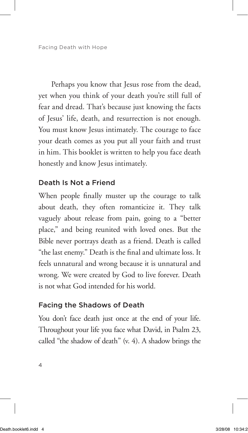Perhaps you know that Jesus rose from the dead, yet when you think of your death you're still full of fear and dread. That's because just knowing the facts of Jesus' life, death, and resurrection is not enough. You must know Jesus intimately. The courage to face your death comes as you put all your faith and trust in him. This booklet is written to help you face death honestly and know Jesus intimately.

### Death Is Not a Friend

When people finally muster up the courage to talk about death, they often romanticize it. They talk vaguely about release from pain, going to a "better place," and being reunited with loved ones. But the Bible never portrays death as a friend. Death is called "the last enemy." Death is the final and ultimate loss. It feels unnatural and wrong because it is unnatural and wrong. We were created by God to live forever. Death is not what God intended for his world.

### Facing the Shadows of Death

You don't face death just once at the end of your life. Throughout your life you face what David, in Psalm 23, called "the shadow of death" (v. 4). A shadow brings the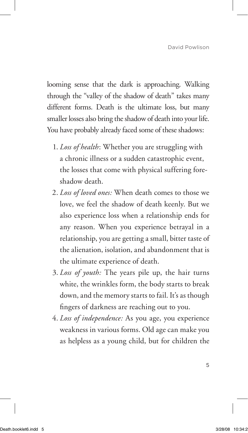looming sense that the dark is approaching. Walking through the "valley of the shadow of death" takes many different forms. Death is the ultimate loss, but many smaller losses also bring the shadow of death into your life. You have probably already faced some of these shadows:

- 1. *Loss of health*: Whether you are struggling with a chronic illness or a sudden catastrophic event, the losses that come with physical suffering foreshadow death.
- 2. *Loss of loved ones:* When death comes to those we love, we feel the shadow of death keenly. But we also experience loss when a relationship ends for any reason. When you experience betrayal in a relationship, you are getting a small, bitter taste of the alienation, isolation, and abandonment that is the ultimate experience of death.
- 3. *Loss of youth:* The years pile up, the hair turns white, the wrinkles form, the body starts to break down, and the memory starts to fail. It's as though fingers of darkness are reaching out to you.
- 4. *Loss of independence:* As you age, you experience weakness in various forms. Old age can make you as helpless as a young child, but for children the